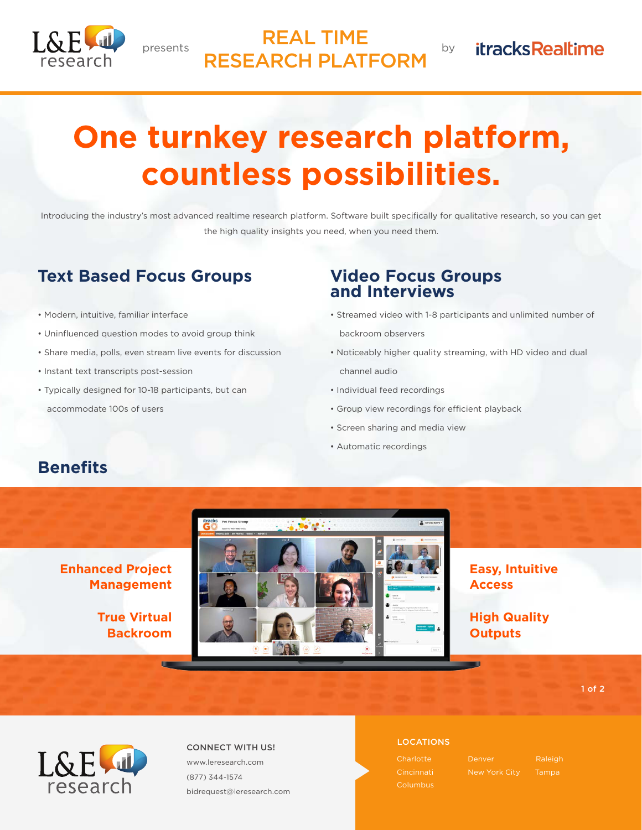

### presents by REAL TIME RESEARCH PLATFORM

# **itracksRealtime**

# **One turnkey research platform, countless possibilities.**

Introducing the industry's most advanced realtime research platform. Software built specifically for qualitative research, so you can get the high quality insights you need, when you need them.

## **Text Based Focus Groups**

- Modern, intuitive, familiar interface
- Uninfluenced question modes to avoid group think
- Share media, polls, even stream live events for discussion
- Instant text transcripts post-session
- Typically designed for 10-18 participants, but can accommodate 100s of users

**Management**

**Backroom**

### **Video Focus Groups and Interviews**

- Streamed video with 1-8 participants and unlimited number of backroom observers
- Noticeably higher quality streaming, with HD video and dual channel audio
- Individual feed recordings
- Group view recordings for efficient playback
- Screen sharing and media view
- Automatic recordings

## **Benefits**



### **Easy, Intuitive Access**

**High Quality Outputs**

1 of 2



#### LOCATIONS CONNECT WITH US! www.leresearch.com (877) 344-1574

bidrequest@leresearch.com

**Charlotte** Cincinnati